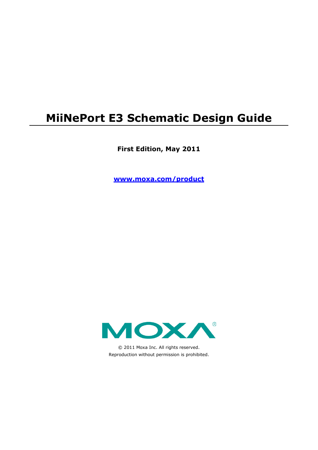# **MiiNePort E3 Schematic Design Guide**

**First Edition, May 2011**

**www.moxa.com/product**



© 2011 Moxa Inc. All rights reserved. Reproduction without permission is prohibited.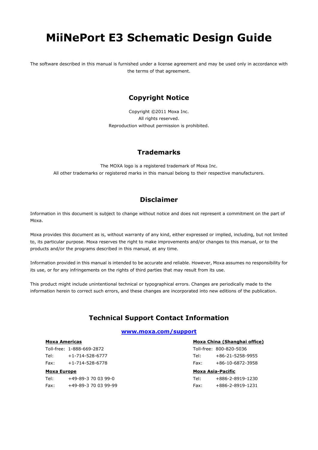# **MiiNePort E3 Schematic Design Guide**

The software described in this manual is furnished under a license agreement and may be used only in accordance with the terms of that agreement.

### **Copyright Notice**

Copyright ©2011 Moxa Inc. All rights reserved. Reproduction without permission is prohibited.

### **Trademarks**

The MOXA logo is a registered trademark of Moxa Inc. All other trademarks or registered marks in this manual belong to their respective manufacturers.

### **Disclaimer**

Information in this document is subject to change without notice and does not represent a commitment on the part of Moxa.

Moxa provides this document as is, without warranty of any kind, either expressed or implied, including, but not limited to, its particular purpose. Moxa reserves the right to make improvements and/or changes to this manual, or to the products and/or the programs described in this manual, at any time.

Information provided in this manual is intended to be accurate and reliable. However, Moxa assumes no responsibility for its use, or for any infringements on the rights of third parties that may result from its use.

This product might include unintentional technical or typographical errors. Changes are periodically made to the information herein to correct such errors, and these changes are incorporated into new editions of the publication.

### **Technical Support Contact Information**

#### **www.moxa.com/support**

#### **Moxa Americas**

Toll-free: 1-888-669-2872 Tel: +1-714-528-6777 Fax: +1-714-528-6778

#### **Moxa Europe**

Tel: +49-89-3 70 03 99-0 Fax: +49-89-3 70 03 99-99

#### **Moxa China (Shanghai office)**

|      | Toll-free: 800-820-5036 |
|------|-------------------------|
| Tel: | $+86-21-5258-9955$      |
| Fax: | $+86-10-6872-3958$      |

#### **Moxa Asia-Pacific**

| Tel: | +886-2-8919-1230 |
|------|------------------|
| Fax: | +886-2-8919-1231 |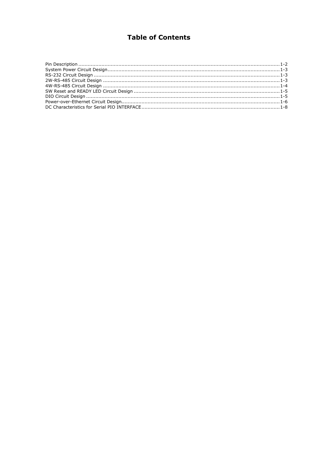## **Table of Contents**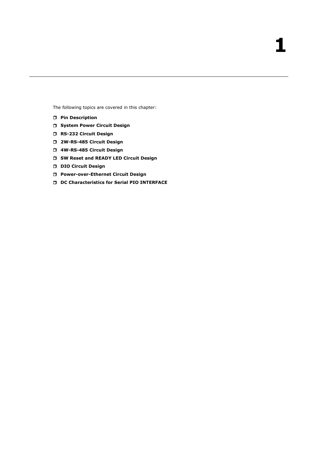The following topics are covered in this chapter:

- **[Pin Description](#page-4-0)**
- **[System Power Circuit Design](#page-5-0)**
- **[RS-232 Circuit Design](#page-5-1)**
- **2W-RS-485 [Circuit Design](#page-5-2)**
- **4W-RS-485 [Circuit Design](#page-6-0)**
- **SW Reset and [READY LED Circuit Design](#page-7-0)**
- **[DIO Circuit Design](#page-7-1)**
- **[Power-over-Ethernet Circuit Design](#page-8-0)**
- **[DC Characteristics for Serial PIO INTERFACE](#page-10-0)**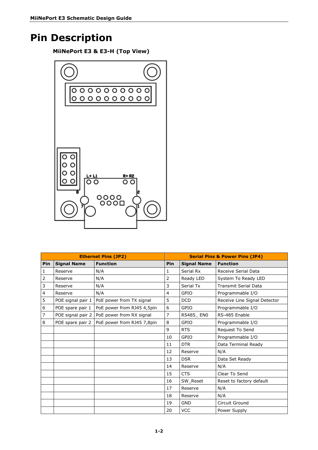# <span id="page-4-0"></span>**Pin Description**

**MiiNePort E3 & E3-H (Top View)**



| <b>Ethernet Pins (JP2)</b> |                    |                            | <b>Serial Pins &amp; Power Pins (JP4)</b> |                    |                              |  |
|----------------------------|--------------------|----------------------------|-------------------------------------------|--------------------|------------------------------|--|
| Pin                        | <b>Signal Name</b> | <b>Function</b>            | Pin                                       | <b>Signal Name</b> | <b>Function</b>              |  |
| 1                          | Reserve            | N/A                        | 1                                         | Serial Rx          | Receive Serial Data          |  |
| 2                          | Reserve            | N/A                        | $\overline{2}$                            | Ready LED          | System To Ready LED          |  |
| 3                          | Reserve            | N/A                        | 3                                         | Serial Tx          | <b>Transmit Serial Data</b>  |  |
| 4                          | Reserve            | N/A                        | $\overline{4}$                            | GPIO               | Programmable I/O             |  |
| 5                          | POE signal pair 1  | PoE power from TX signal   | 5                                         | <b>DCD</b>         | Receive Line Signal Detector |  |
| 6                          | POE spare pair 1   | PoE power from RJ45 4,5pin | 6                                         | GPIO               | Programmable I/O             |  |
| 7                          | POE signal pair 2  | PoE power from RX signal   | 7                                         | RS485_EN0          | RS-485 Enable                |  |
| 8                          | POE spare pair 2   | PoE power from RJ45 7,8pin | 8                                         | GPIO               | Programmable I/O             |  |
|                            |                    |                            | 9                                         | <b>RTS</b>         | Request To Send              |  |
|                            |                    |                            | 10                                        | GPIO               | Programmable I/O             |  |
|                            |                    |                            | 11                                        | <b>DTR</b>         | Data Terminal Ready          |  |
|                            |                    |                            | 12                                        | Reserve            | N/A                          |  |
|                            |                    |                            | 13                                        | <b>DSR</b>         | Data Set Ready               |  |
|                            |                    |                            | 14                                        | Reserve            | N/A                          |  |
|                            |                    |                            | 15                                        | <b>CTS</b>         | Clear To Send                |  |
|                            |                    |                            | 16                                        | SW_Reset           | Reset to factory default     |  |
|                            |                    |                            | 17                                        | Reserve            | N/A                          |  |
|                            |                    |                            | 18                                        | Reserve            | N/A                          |  |
|                            |                    |                            | 19                                        | <b>GND</b>         | Circuit Ground               |  |
|                            |                    |                            | 20                                        | <b>VCC</b>         | Power Supply                 |  |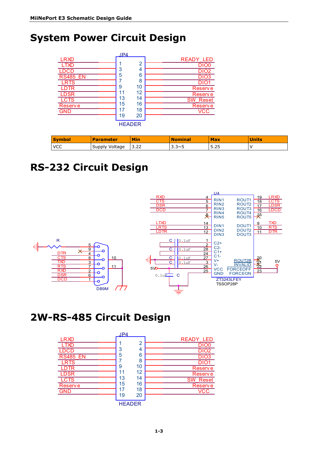# <span id="page-5-0"></span>**System Power Circuit Design**



| <b>Symbol</b> | <b>Parameter</b> | <b>Min</b> | <b>Nominal</b> | <b>Max</b> | <b>Units</b> |
|---------------|------------------|------------|----------------|------------|--------------|
| <b>IVCC</b>   | Supply Voltage   | 3.22       | $3.3\nu 5$     | 5.25       |              |

# <span id="page-5-1"></span>**RS-232 Circuit Design**



## <span id="page-5-2"></span>**2W-RS-485 Circuit Design**

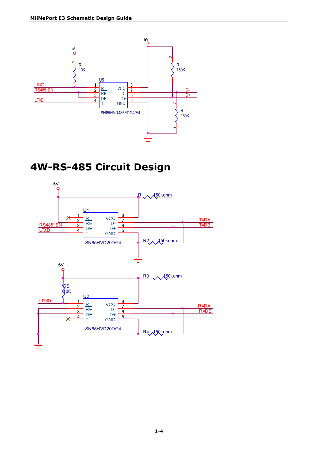

# <span id="page-6-0"></span>**4W-RS-485 Circuit Design**

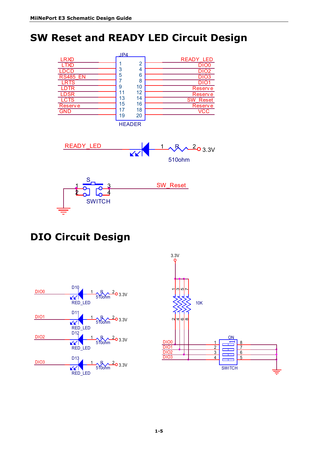# <span id="page-7-0"></span>**SW Reset and READY LED Circuit Design**



# <span id="page-7-1"></span>**DIO Circuit Design**



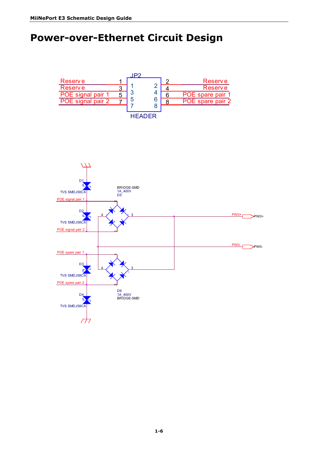# <span id="page-8-0"></span>**Power-over-Ethernet Circuit Design**

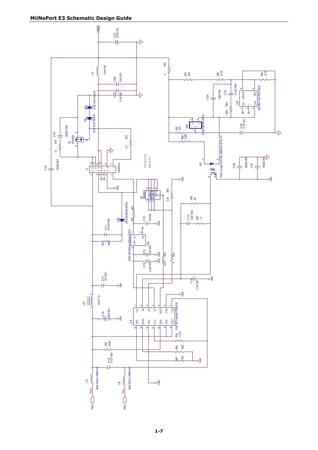